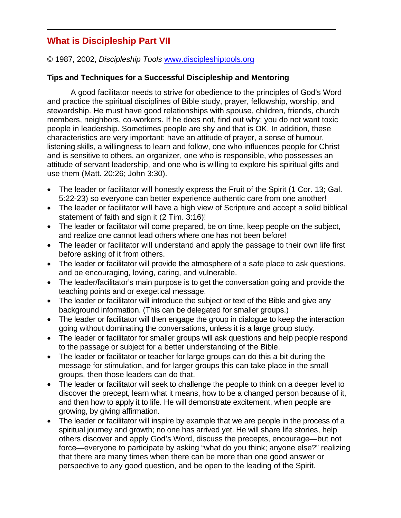## **What is Discipleship Part VII**

© 1987, 2002, *Discipleship Tools* www.discipleshiptools.org

## **Tips and Techniques for a Successful Discipleship and Mentoring**

A good facilitator needs to strive for obedience to the principles of God's Word and practice the spiritual disciplines of Bible study, prayer, fellowship, worship, and stewardship. He must have good relationships with spouse, children, friends, church members, neighbors, co-workers. If he does not, find out why; you do not want toxic people in leadership. Sometimes people are shy and that is OK. In addition, these characteristics are very important: have an attitude of prayer, a sense of humour, listening skills, a willingness to learn and follow, one who influences people for Christ and is sensitive to others, an organizer, one who is responsible, who possesses an attitude of servant leadership, and one who is willing to explore his spiritual gifts and use them (Matt. 20:26; John 3:30).

- The leader or facilitator will honestly express the Fruit of the Spirit (1 Cor. 13; Gal. 5:22-23) so everyone can better experience authentic care from one another!
- The leader or facilitator will have a high view of Scripture and accept a solid biblical statement of faith and sign it (2 Tim. 3:16)!
- The leader or facilitator will come prepared, be on time, keep people on the subject, and realize one cannot lead others where one has not been before!
- The leader or facilitator will understand and apply the passage to their own life first before asking of it from others.
- The leader or facilitator will provide the atmosphere of a safe place to ask questions, and be encouraging, loving, caring, and vulnerable.
- The leader/facilitator's main purpose is to get the conversation going and provide the teaching points and or exegetical message.
- The leader or facilitator will introduce the subject or text of the Bible and give any background information. (This can be delegated for smaller groups.)
- The leader or facilitator will then engage the group in dialogue to keep the interaction going without dominating the conversations, unless it is a large group study.
- The leader or facilitator for smaller groups will ask questions and help people respond to the passage or subject for a better understanding of the Bible.
- The leader or facilitator or teacher for large groups can do this a bit during the message for stimulation, and for larger groups this can take place in the small groups, then those leaders can do that.
- The leader or facilitator will seek to challenge the people to think on a deeper level to discover the precept, learn what it means, how to be a changed person because of it, and then how to apply it to life. He will demonstrate excitement, when people are growing, by giving affirmation.
- The leader or facilitator will inspire by example that we are people in the process of a spiritual journey and growth; no one has arrived yet. He will share life stories, help others discover and apply God's Word, discuss the precepts, encourage—but not force—everyone to participate by asking "what do you think; anyone else?" realizing that there are many times when there can be more than one good answer or perspective to any good question, and be open to the leading of the Spirit.